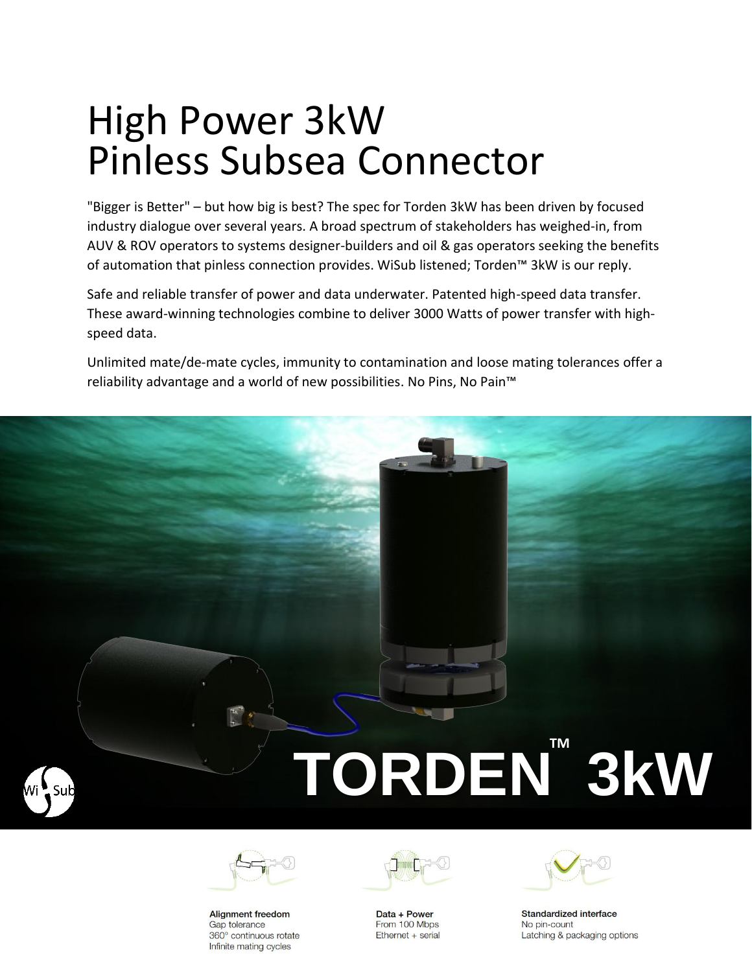## High Power 3kW Pinless Subsea Connector

"Bigger is Better" – but how big is best? The spec for Torden 3kW has been driven by focused industry dialogue over several years. A broad spectrum of stakeholders has weighed-in, from AUV & ROV operators to systems designer-builders and oil & gas operators seeking the benefits of automation that pinless connection provides. WiSub listened; Torden™ 3kW is our reply.

Safe and reliable transfer of power and data underwater. Patented high-speed data transfer. These award-winning technologies combine to deliver 3000 Watts of power transfer with highspeed data.

Unlimited mate/de-mate cycles, immunity to contamination and loose mating tolerances offer a reliability advantage and a world of new possibilities. No Pins, No Pain™

# **TM TORDEN 3kW**



**Alignment freedom** Gap tolerance 360° continuous rotate Infinite mating cycles



Data + Power From 100 Mbps Ethernet + serial



**Standardized interface** No pin-count Latching & packaging options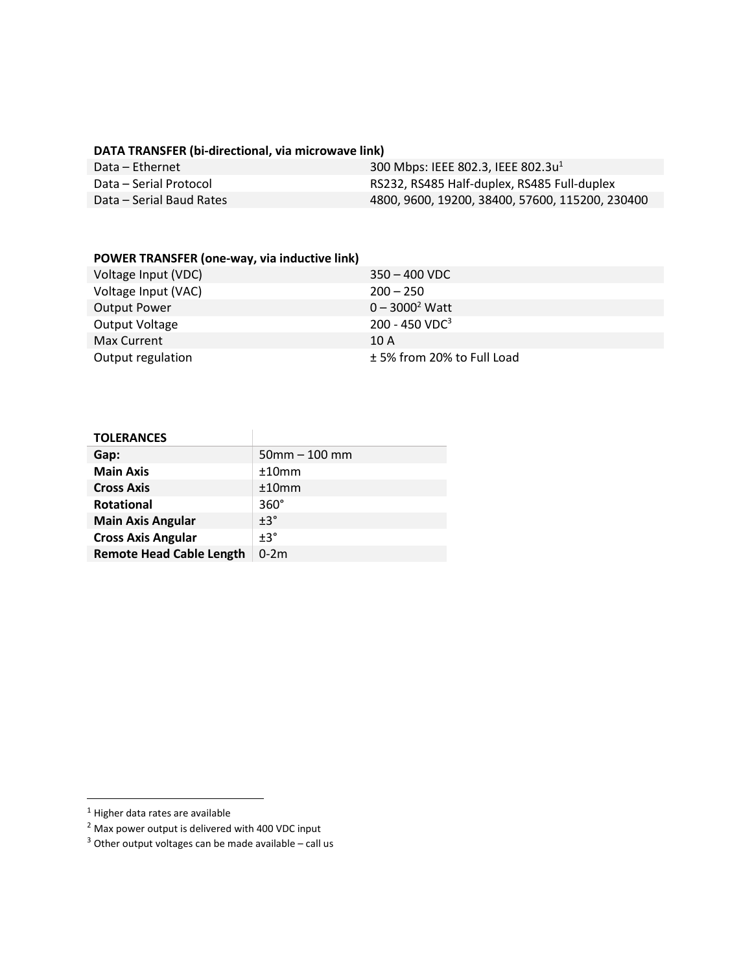#### **DATA TRANSFER (bi-directional, via microwave link)**

| 300 Mbps: IEEE 802.3, IEEE 802.3u <sup>1</sup>  |
|-------------------------------------------------|
| RS232, RS485 Half-duplex, RS485 Full-duplex     |
| 4800, 9600, 19200, 38400, 57600, 115200, 230400 |
|                                                 |

#### **POWER TRANSFER (one-way, via inductive link)**

| Voltage Input (VDC) | $350 - 400$ VDC              |
|---------------------|------------------------------|
| Voltage Input (VAC) | $200 - 250$                  |
| <b>Output Power</b> | $0 - 3000^2$ Watt            |
| Output Voltage      | $200 - 450$ VDC <sup>3</sup> |
| Max Current         | 10 A                         |
| Output regulation   | ± 5% from 20% to Full Load   |
|                     |                              |

| <b>TOLERANCES</b>               |                   |
|---------------------------------|-------------------|
| Gap:                            | $50$ mm $-100$ mm |
| <b>Main Axis</b>                | ±10mm             |
| <b>Cross Axis</b>               | ±10mm             |
| <b>Rotational</b>               | $360^\circ$       |
| <b>Main Axis Angular</b>        | ±3°               |
| <b>Cross Axis Angular</b>       | $+3^\circ$        |
| <b>Remote Head Cable Length</b> | $0 - 2m$          |

 $<sup>1</sup>$  Higher data rates are available</sup>

 $2$  Max power output is delivered with 400 VDC input

 $3$  Other output voltages can be made available – call us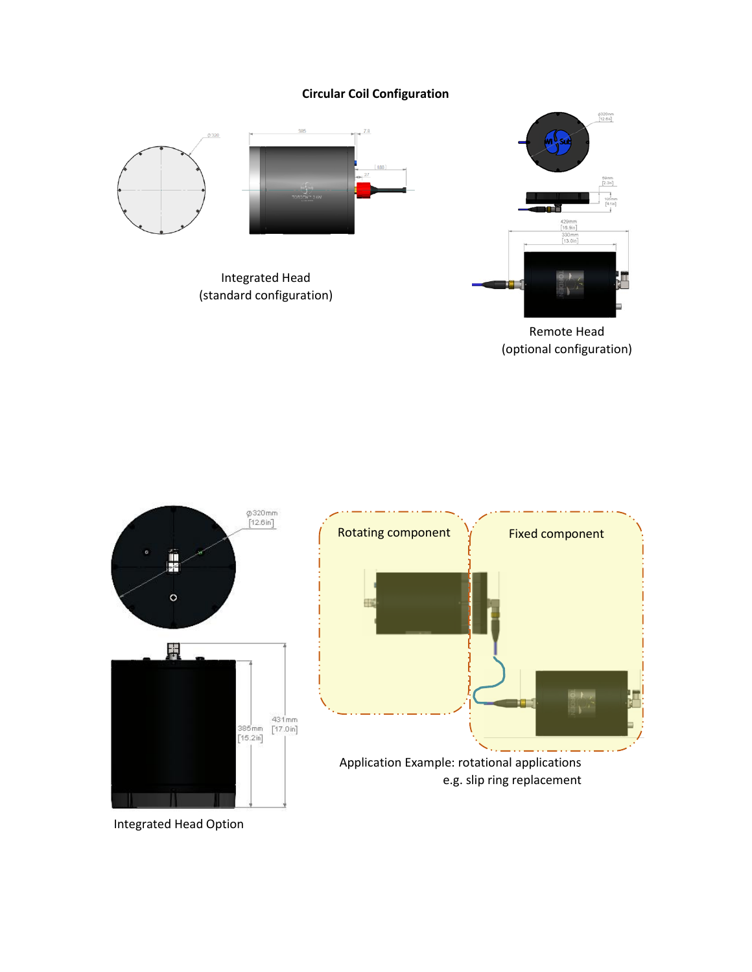### **Circular Coil Configuration**





Integrated Head Option